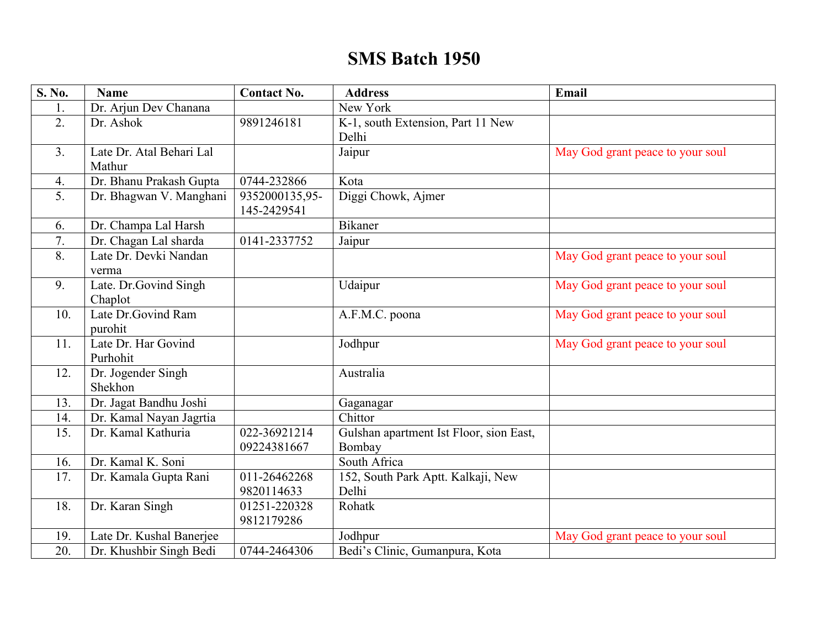## **SMS Batch 1950**

| S. No. | <b>Name</b>              | <b>Contact No.</b>            | <b>Address</b>                          | Email                            |
|--------|--------------------------|-------------------------------|-----------------------------------------|----------------------------------|
| 1.     | Dr. Arjun Dev Chanana    |                               | New York                                |                                  |
| 2.     | Dr. Ashok                | 9891246181                    | K-1, south Extension, Part 11 New       |                                  |
|        |                          |                               | Delhi                                   |                                  |
| 3.     | Late Dr. Atal Behari Lal |                               | Jaipur                                  | May God grant peace to your soul |
|        | Mathur                   |                               |                                         |                                  |
| 4.     | Dr. Bhanu Prakash Gupta  | 0744-232866                   | Kota                                    |                                  |
| 5.     | Dr. Bhagwan V. Manghani  | 9352000135,95-<br>145-2429541 | Diggi Chowk, Ajmer                      |                                  |
| 6.     | Dr. Champa Lal Harsh     |                               | <b>Bikaner</b>                          |                                  |
| 7.     | Dr. Chagan Lal sharda    | 0141-2337752                  | Jaipur                                  |                                  |
| 8.     | Late Dr. Devki Nandan    |                               |                                         | May God grant peace to your soul |
|        | verma                    |                               |                                         |                                  |
| 9.     | Late. Dr. Govind Singh   |                               | Udaipur                                 | May God grant peace to your soul |
|        | Chaplot                  |                               |                                         |                                  |
| 10.    | Late Dr.Govind Ram       |                               | A.F.M.C. poona                          | May God grant peace to your soul |
|        | purohit                  |                               |                                         |                                  |
| 11.    | Late Dr. Har Govind      |                               | Jodhpur                                 | May God grant peace to your soul |
|        | Purhohit                 |                               |                                         |                                  |
| 12.    | Dr. Jogender Singh       |                               | Australia                               |                                  |
|        | Shekhon                  |                               |                                         |                                  |
| 13.    | Dr. Jagat Bandhu Joshi   |                               | Gaganagar                               |                                  |
| 14.    | Dr. Kamal Nayan Jagrtia  |                               | Chittor                                 |                                  |
| 15.    | Dr. Kamal Kathuria       | 022-36921214                  | Gulshan apartment Ist Floor, sion East, |                                  |
|        |                          | 09224381667                   | Bombay                                  |                                  |
| 16.    | Dr. Kamal K. Soni        |                               | South Africa                            |                                  |
| 17.    | Dr. Kamala Gupta Rani    | 011-26462268                  | 152, South Park Aptt. Kalkaji, New      |                                  |
|        |                          | 9820114633                    | Delhi                                   |                                  |
| 18.    | Dr. Karan Singh          | 01251-220328                  | Rohatk                                  |                                  |
|        |                          | 9812179286                    |                                         |                                  |
| 19.    | Late Dr. Kushal Banerjee |                               | Jodhpur                                 | May God grant peace to your soul |
| 20.    | Dr. Khushbir Singh Bedi  | 0744-2464306                  | Bedi's Clinic, Gumanpura, Kota          |                                  |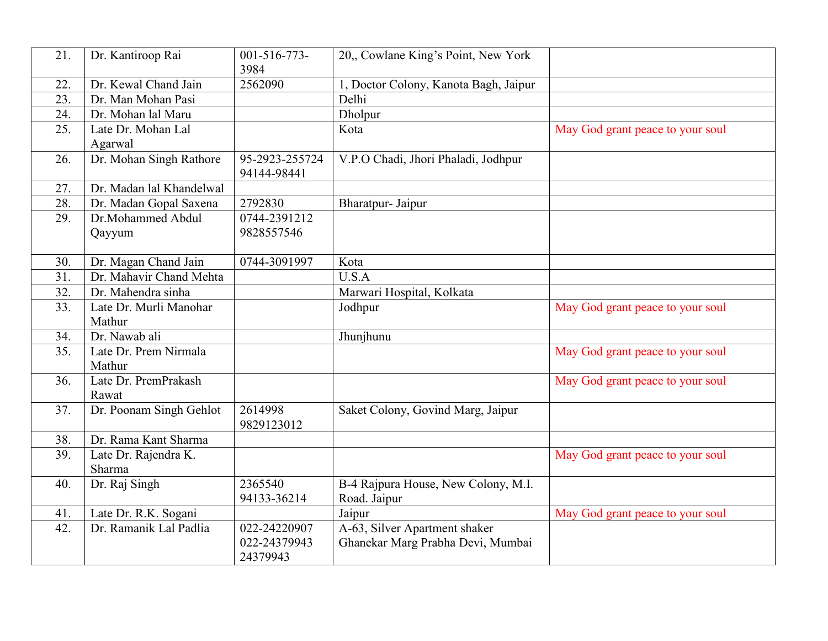| 21. | Dr. Kantiroop Rai                | $001 - 516 - 773$<br>3984                | 20, Cowlane King's Point, New York                                 |                                  |
|-----|----------------------------------|------------------------------------------|--------------------------------------------------------------------|----------------------------------|
| 22. | Dr. Kewal Chand Jain             | 2562090                                  | 1, Doctor Colony, Kanota Bagh, Jaipur                              |                                  |
| 23. | Dr. Man Mohan Pasi               |                                          | Delhi                                                              |                                  |
| 24. | Dr. Mohan lal Maru               |                                          | Dholpur                                                            |                                  |
| 25. | Late Dr. Mohan Lal               |                                          | Kota                                                               | May God grant peace to your soul |
|     | Agarwal                          |                                          |                                                                    |                                  |
| 26. | Dr. Mohan Singh Rathore          | 95-2923-255724<br>94144-98441            | V.P.O Chadi, Jhori Phaladi, Jodhpur                                |                                  |
| 27. | Dr. Madan lal Khandelwal         |                                          |                                                                    |                                  |
| 28. | Dr. Madan Gopal Saxena           | 2792830                                  | Bharatpur- Jaipur                                                  |                                  |
| 29. | Dr.Mohammed Abdul<br>Qayyum      | 0744-2391212<br>9828557546               |                                                                    |                                  |
| 30. | Dr. Magan Chand Jain             | 0744-3091997                             | Kota                                                               |                                  |
| 31. | Dr. Mahavir Chand Mehta          |                                          | U.S.A                                                              |                                  |
| 32. | Dr. Mahendra sinha               |                                          | Marwari Hospital, Kolkata                                          |                                  |
| 33. | Late Dr. Murli Manohar<br>Mathur |                                          | Jodhpur                                                            | May God grant peace to your soul |
| 34. | Dr. Nawab ali                    |                                          | Jhunjhunu                                                          |                                  |
| 35. | Late Dr. Prem Nirmala<br>Mathur  |                                          |                                                                    | May God grant peace to your soul |
| 36. | Late Dr. PremPrakash<br>Rawat    |                                          |                                                                    | May God grant peace to your soul |
| 37. | Dr. Poonam Singh Gehlot          | 2614998<br>9829123012                    | Saket Colony, Govind Marg, Jaipur                                  |                                  |
| 38. | Dr. Rama Kant Sharma             |                                          |                                                                    |                                  |
| 39. | Late Dr. Rajendra K.<br>Sharma   |                                          |                                                                    | May God grant peace to your soul |
| 40. | Dr. Raj Singh                    | 2365540<br>94133-36214                   | B-4 Rajpura House, New Colony, M.I.<br>Road. Jaipur                |                                  |
| 41. | Late Dr. R.K. Sogani             |                                          | Jaipur                                                             | May God grant peace to your soul |
| 42. | Dr. Ramanik Lal Padlia           | 022-24220907<br>022-24379943<br>24379943 | A-63, Silver Apartment shaker<br>Ghanekar Marg Prabha Devi, Mumbai |                                  |